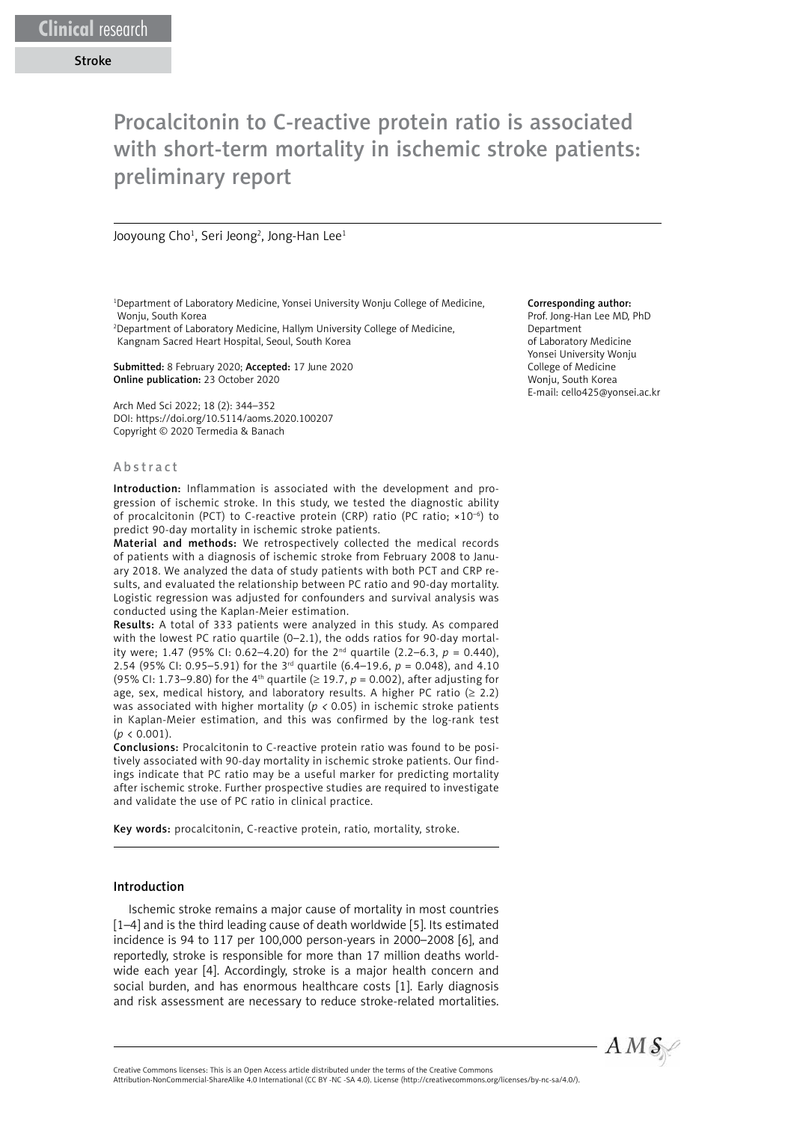# Procalcitonin to C-reactive protein ratio is associated with short-term mortality in ischemic stroke patients: preliminary report

Jooyoung Cho<sup>1</sup>, Seri Jeong<sup>2</sup>, Jong-Han Lee<sup>1</sup>

<sup>1</sup>Department of Laboratory Medicine, Yonsei University Wonju College of Medicine, Wonju, South Korea

2 Department of Laboratory Medicine, Hallym University College of Medicine, Kangnam Sacred Heart Hospital, Seoul, South Korea

Submitted: 8 February 2020; Accepted: 17 June 2020 Online publication: 23 October 2020

Arch Med Sci 2022; 18 (2): 344–352 DOI: https://doi.org/10.5114/aoms.2020.100207 Copyright © 2020 Termedia & Banach

#### Abstract

Introduction: Inflammation is associated with the development and progression of ischemic stroke. In this study, we tested the diagnostic ability of procalcitonin (PCT) to C-reactive protein (CRP) ratio (PC ratio; ×10–6) to predict 90-day mortality in ischemic stroke patients.

Material and methods: We retrospectively collected the medical records of patients with a diagnosis of ischemic stroke from February 2008 to January 2018. We analyzed the data of study patients with both PCT and CRP results, and evaluated the relationship between PC ratio and 90-day mortality. Logistic regression was adjusted for confounders and survival analysis was conducted using the Kaplan-Meier estimation.

Results: A total of 333 patients were analyzed in this study. As compared with the lowest PC ratio quartile (0–2.1), the odds ratios for 90-day mortality were; 1.47 (95% CI: 0.62–4.20) for the 2<sup>nd</sup> quartile (2.2–6.3,  $p = 0.440$ ), 2.54 (95% CI: 0.95–5.91) for the 3<sup>rd</sup> quartile (6.4–19.6,  $p = 0.048$ ), and 4.10 (95% CI: 1.73–9.80) for the 4<sup>th</sup> quartile ( $\geq$  19.7,  $p = 0.002$ ), after adjusting for age, sex, medical history, and laboratory results. A higher PC ratio ( $\geq$  2.2) was associated with higher mortality (*p <* 0.05) in ischemic stroke patients in Kaplan-Meier estimation, and this was confirmed by the log-rank test  $(p < 0.001)$ .

Conclusions: Procalcitonin to C-reactive protein ratio was found to be positively associated with 90-day mortality in ischemic stroke patients. Our findings indicate that PC ratio may be a useful marker for predicting mortality after ischemic stroke. Further prospective studies are required to investigate and validate the use of PC ratio in clinical practice.

Key words: procalcitonin, C-reactive protein, ratio, mortality, stroke.

#### Introduction

Ischemic stroke remains a major cause of mortality in most countries [1-4] and is the third leading cause of death worldwide [5]. Its estimated incidence is 94 to 117 per 100,000 person-years in 2000–2008 [6], and reportedly, stroke is responsible for more than 17 million deaths worldwide each year [4]. Accordingly, stroke is a major health concern and social burden, and has enormous healthcare costs [1]. Early diagnosis and risk assessment are necessary to reduce stroke-related mortalities.

#### Corresponding author:

Prof. Jong-Han Lee MD, PhD Department of Laboratory Medicine Yonsei University Wonju College of Medicine Wonju, South Korea E-mail: cello425@yonsei.ac.kr



Attribution-NonCommercial-ShareAlike 4.0 International (CC BY -NC -SA 4.0). License (http://creativecommons.org/licenses/by-nc-sa/4.0/).

Creative Commons licenses: This is an Open Access article distributed under the terms of the Creative Commons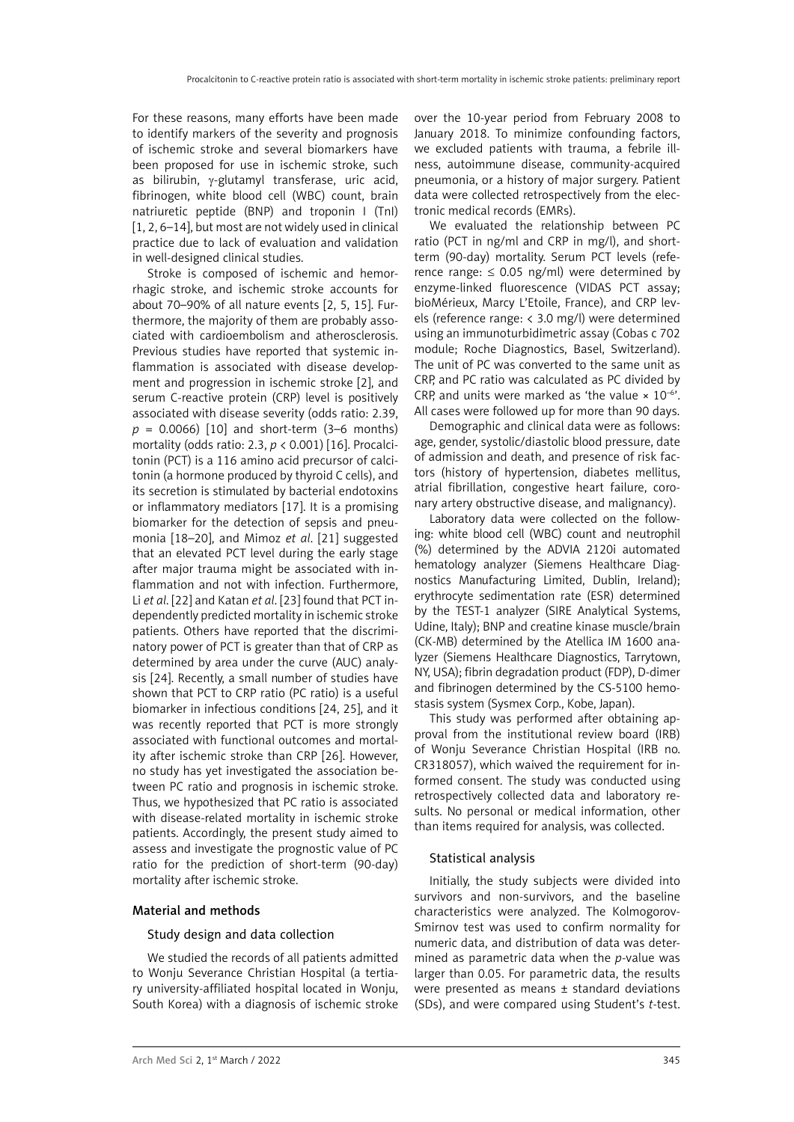For these reasons, many efforts have been made to identify markers of the severity and prognosis of ischemic stroke and several biomarkers have been proposed for use in ischemic stroke, such as bilirubin,  $\gamma$ -glutamyl transferase, uric acid, fibrinogen, white blood cell (WBC) count, brain natriuretic peptide (BNP) and troponin I (TnI) [1, 2, 6–14], but most are not widely used in clinical practice due to lack of evaluation and validation in well-designed clinical studies.

Stroke is composed of ischemic and hemorrhagic stroke, and ischemic stroke accounts for about 70–90% of all nature events [2, 5, 15]. Furthermore, the majority of them are probably associated with cardioembolism and atherosclerosis. Previous studies have reported that systemic inflammation is associated with disease development and progression in ischemic stroke [2], and serum C-reactive protein (CRP) level is positively associated with disease severity (odds ratio: 2.39,  $p = 0.0066$ ) [10] and short-term (3–6 months) mortality (odds ratio: 2.3, *p* < 0.001) [16]. Procalcitonin (PCT) is a 116 amino acid precursor of calcitonin (a hormone produced by thyroid C cells), and its secretion is stimulated by bacterial endotoxins or inflammatory mediators [17]. It is a promising biomarker for the detection of sepsis and pneumonia [18–20], and Mimoz *et al*. [21] suggested that an elevated PCT level during the early stage after major trauma might be associated with inflammation and not with infection. Furthermore, Li *et al*. [22] and Katan *et al*. [23] found that PCT independently predicted mortality in ischemic stroke patients. Others have reported that the discriminatory power of PCT is greater than that of CRP as determined by area under the curve (AUC) analysis [24]. Recently, a small number of studies have shown that PCT to CRP ratio (PC ratio) is a useful biomarker in infectious conditions [24, 25], and it was recently reported that PCT is more strongly associated with functional outcomes and mortality after ischemic stroke than CRP [26]. However, no study has yet investigated the association between PC ratio and prognosis in ischemic stroke. Thus, we hypothesized that PC ratio is associated with disease-related mortality in ischemic stroke patients. Accordingly, the present study aimed to assess and investigate the prognostic value of PC ratio for the prediction of short-term (90-day) mortality after ischemic stroke.

## Material and methods

#### Study design and data collection

We studied the records of all patients admitted to Wonju Severance Christian Hospital (a tertiary university-affiliated hospital located in Wonju, South Korea) with a diagnosis of ischemic stroke over the 10-year period from February 2008 to January 2018. To minimize confounding factors, we excluded patients with trauma, a febrile illness, autoimmune disease, community-acquired pneumonia, or a history of major surgery. Patient data were collected retrospectively from the electronic medical records (EMRs).

We evaluated the relationship between PC ratio (PCT in ng/ml and CRP in mg/l), and shortterm (90-day) mortality. Serum PCT levels (reference range:  $\leq$  0.05 ng/ml) were determined by enzyme-linked fluorescence (VIDAS PCT assay; bioMérieux, Marcy L'Etoile, France), and CRP levels (reference range: < 3.0 mg/l) were determined using an immunoturbidimetric assay (Cobas c 702 module; Roche Diagnostics, Basel, Switzerland). The unit of PC was converted to the same unit as CRP, and PC ratio was calculated as PC divided by CRP, and units were marked as 'the value  $\times$  10<sup>-6</sup>'. All cases were followed up for more than 90 days.

Demographic and clinical data were as follows: age, gender, systolic/diastolic blood pressure, date of admission and death, and presence of risk factors (history of hypertension, diabetes mellitus, atrial fibrillation, congestive heart failure, coronary artery obstructive disease, and malignancy).

Laboratory data were collected on the following: white blood cell (WBC) count and neutrophil (%) determined by the ADVIA 2120i automated hematology analyzer (Siemens Healthcare Diagnostics Manufacturing Limited, Dublin, Ireland); erythrocyte sedimentation rate (ESR) determined by the TEST-1 analyzer (SIRE Analytical Systems, Udine, Italy); BNP and creatine kinase muscle/brain (CK-MB) determined by the Atellica IM 1600 analyzer (Siemens Healthcare Diagnostics, Tarrytown, NY, USA); fibrin degradation product (FDP), D-dimer and fibrinogen determined by the CS-5100 hemostasis system (Sysmex Corp., Kobe, Japan).

This study was performed after obtaining approval from the institutional review board (IRB) of Wonju Severance Christian Hospital (IRB no. CR318057), which waived the requirement for informed consent. The study was conducted using retrospectively collected data and laboratory results. No personal or medical information, other than items required for analysis, was collected.

## Statistical analysis

Initially, the study subjects were divided into survivors and non-survivors, and the baseline characteristics were analyzed. The Kolmogorov-Smirnov test was used to confirm normality for numeric data, and distribution of data was determined as parametric data when the *p*-value was larger than 0.05. For parametric data, the results were presented as means ± standard deviations (SDs), and were compared using Student's *t*-test.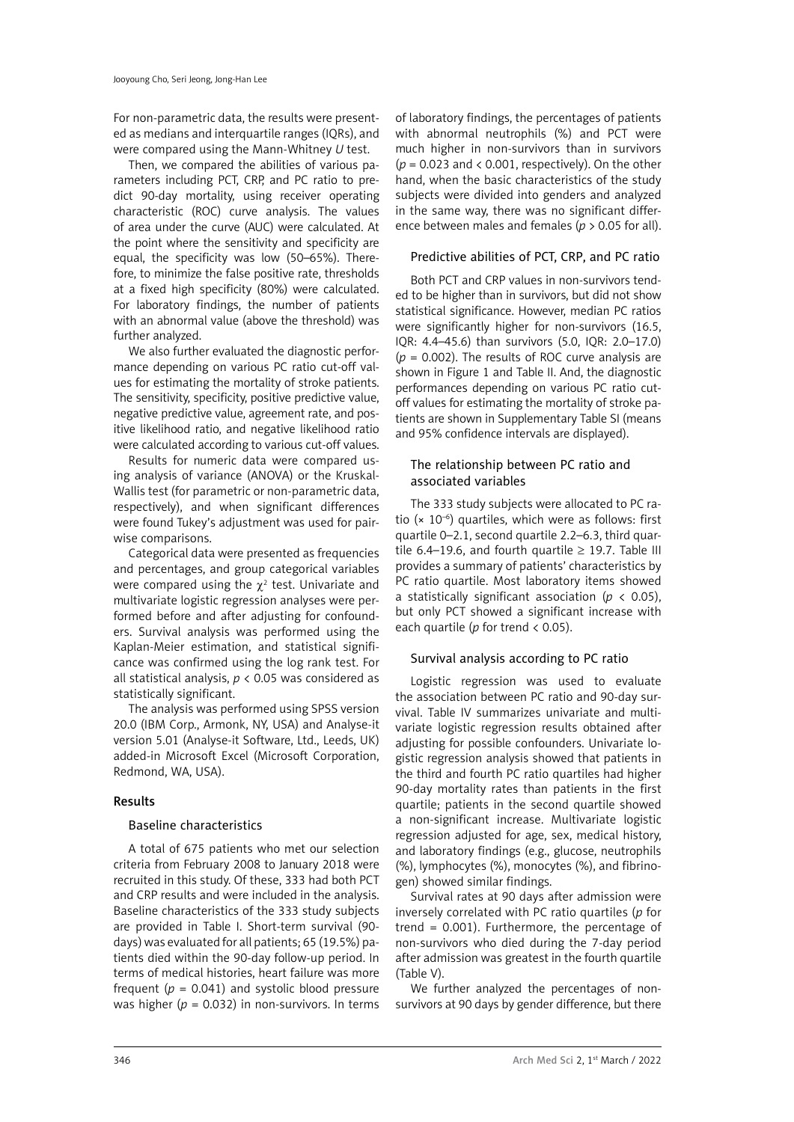For non-parametric data, the results were presented as medians and interquartile ranges (IQRs), and were compared using the Mann-Whitney *U* test.

Then, we compared the abilities of various parameters including PCT, CRP, and PC ratio to predict 90-day mortality, using receiver operating characteristic (ROC) curve analysis. The values of area under the curve (AUC) were calculated. At the point where the sensitivity and specificity are equal, the specificity was low (50–65%). Therefore, to minimize the false positive rate, thresholds at a fixed high specificity (80%) were calculated. For laboratory findings, the number of patients with an abnormal value (above the threshold) was further analyzed.

We also further evaluated the diagnostic performance depending on various PC ratio cut-off values for estimating the mortality of stroke patients. The sensitivity, specificity, positive predictive value, negative predictive value, agreement rate, and positive likelihood ratio, and negative likelihood ratio were calculated according to various cut-off values.

Results for numeric data were compared using analysis of variance (ANOVA) or the Kruskal-Wallis test (for parametric or non-parametric data, respectively), and when significant differences were found Tukey's adjustment was used for pairwise comparisons.

Categorical data were presented as frequencies and percentages, and group categorical variables were compared using the  $\chi^2$  test. Univariate and multivariate logistic regression analyses were performed before and after adjusting for confounders. Survival analysis was performed using the Kaplan-Meier estimation, and statistical significance was confirmed using the log rank test. For all statistical analysis, *p* < 0.05 was considered as statistically significant.

The analysis was performed using SPSS version 20.0 (IBM Corp., Armonk, NY, USA) and Analyse-it version 5.01 (Analyse-it Software, Ltd., Leeds, UK) added-in Microsoft Excel (Microsoft Corporation, Redmond, WA, USA).

## Results

## Baseline characteristics

A total of 675 patients who met our selection criteria from February 2008 to January 2018 were recruited in this study. Of these, 333 had both PCT and CRP results and were included in the analysis. Baseline characteristics of the 333 study subjects are provided in Table I. Short-term survival (90 days) was evaluated for all patients; 65 (19.5%) patients died within the 90-day follow-up period. In terms of medical histories, heart failure was more frequent  $(p = 0.041)$  and systolic blood pressure was higher ( $p = 0.032$ ) in non-survivors. In terms

of laboratory findings, the percentages of patients with abnormal neutrophils (%) and PCT were much higher in non-survivors than in survivors (*p* = 0.023 and < 0.001, respectively). On the other hand, when the basic characteristics of the study subjects were divided into genders and analyzed in the same way, there was no significant difference between males and females (*p* > 0.05 for all).

# Predictive abilities of PCT, CRP, and PC ratio

Both PCT and CRP values in non-survivors tended to be higher than in survivors, but did not show statistical significance. However, median PC ratios were significantly higher for non-survivors (16.5, IQR: 4.4–45.6) than survivors (5.0, IQR: 2.0–17.0) (*p* = 0.002). The results of ROC curve analysis are shown in Figure 1 and Table II. And, the diagnostic performances depending on various PC ratio cutoff values for estimating the mortality of stroke patients are shown in Supplementary Table SI (means and 95% confidence intervals are displayed).

# The relationship between PC ratio and associated variables

The 333 study subjects were allocated to PC ratio  $(x 10^{-6})$  quartiles, which were as follows: first quartile 0–2.1, second quartile 2.2–6.3, third quartile 6.4–19.6, and fourth quartile  $\geq$  19.7. Table III provides a summary of patients' characteristics by PC ratio quartile. Most laboratory items showed a statistically significant association ( $p < 0.05$ ), but only PCT showed a significant increase with each quartile (*p* for trend < 0.05).

# Survival analysis according to PC ratio

Logistic regression was used to evaluate the association between PC ratio and 90-day survival. Table IV summarizes univariate and multivariate logistic regression results obtained after adjusting for possible confounders. Univariate logistic regression analysis showed that patients in the third and fourth PC ratio quartiles had higher 90-day mortality rates than patients in the first quartile; patients in the second quartile showed a non-significant increase. Multivariate logistic regression adjusted for age, sex, medical history, and laboratory findings (e.g., glucose, neutrophils (%), lymphocytes (%), monocytes (%), and fibrinogen) showed similar findings.

Survival rates at 90 days after admission were inversely correlated with PC ratio quartiles (*p* for trend  $= 0.001$ ). Furthermore, the percentage of non-survivors who died during the 7-day period after admission was greatest in the fourth quartile (Table V).

We further analyzed the percentages of nonsurvivors at 90 days by gender difference, but there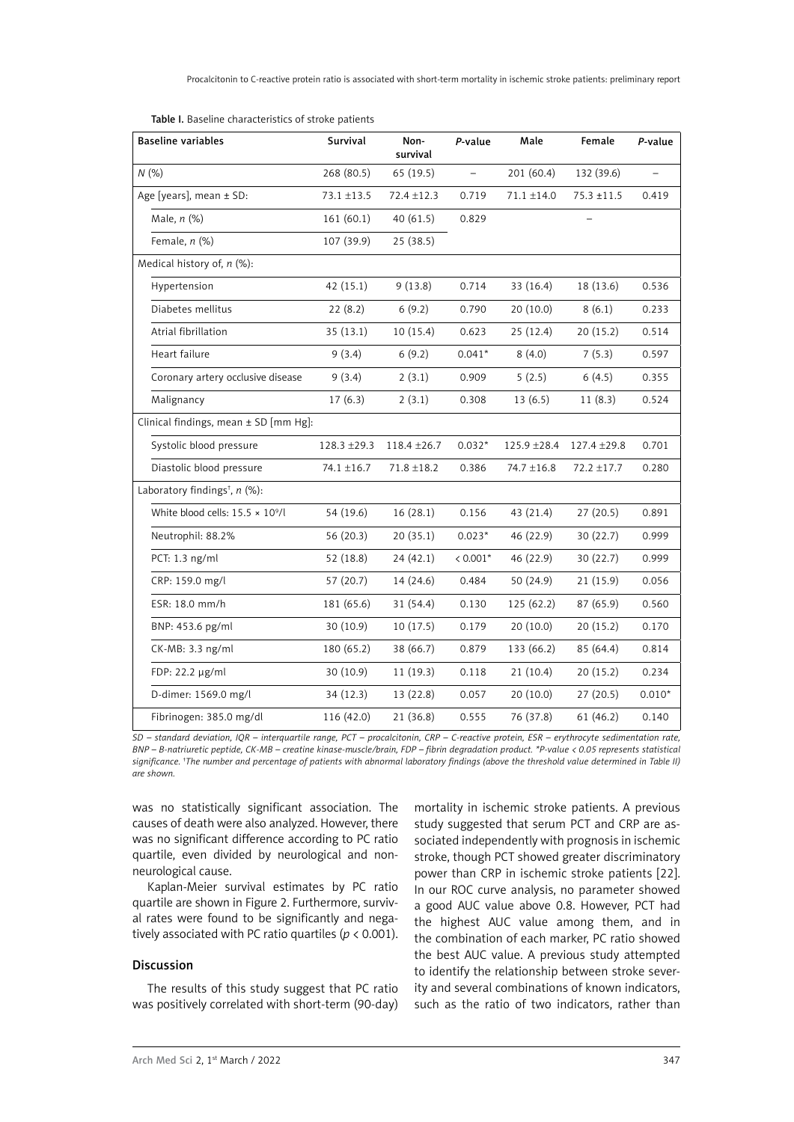Table I. Baseline characteristics of stroke patients

| <b>Baseline variables</b>                   | Survival        | Non-<br>survival | P-value           | Male            | Female          | P-value  |
|---------------------------------------------|-----------------|------------------|-------------------|-----------------|-----------------|----------|
| N(%)                                        | 268 (80.5)      | 65 (19.5)        | $\qquad \qquad -$ | 201 (60.4)      | 132 (39.6)      |          |
| Age [years], mean ± SD:                     | $73.1 \pm 13.5$ | $72.4 \pm 12.3$  | 0.719             | $71.1 \pm 14.0$ | $75.3 + 11.5$   | 0.419    |
| Male, $n$ (%)                               | 161(60.1)       | 40 (61.5)        | 0.829             |                 |                 |          |
| Female, $n$ (%)                             | 107 (39.9)      | 25 (38.5)        |                   |                 |                 |          |
| Medical history of, $n$ (%):                |                 |                  |                   |                 |                 |          |
| Hypertension                                | 42 (15.1)       | 9(13.8)          | 0.714             | 33 (16.4)       | 18 (13.6)       | 0.536    |
| Diabetes mellitus                           | 22(8.2)         | 6(9.2)           | 0.790             | 20(10.0)        | 8(6.1)          | 0.233    |
| Atrial fibrillation                         | 35(13.1)        | 10(15.4)         | 0.623             | 25(12.4)        | 20(15.2)        | 0.514    |
| Heart failure                               | 9(3.4)          | 6(9.2)           | $0.041*$          | 8(4.0)          | 7(5.3)          | 0.597    |
| Coronary artery occlusive disease           | 9(3.4)          | 2(3.1)           | 0.909             | 5(2.5)          | 6(4.5)          | 0.355    |
| Malignancy                                  | 17(6.3)         | 2(3.1)           | 0.308             | 13(6.5)         | 11(8.3)         | 0.524    |
| Clinical findings, mean ± SD [mm Hg]:       |                 |                  |                   |                 |                 |          |
| Systolic blood pressure                     | 128.3 ±29.3     | 118.4 ±26.7      | $0.032*$          | 125.9 ±28.4     | 127.4 ±29.8     | 0.701    |
| Diastolic blood pressure                    | 74.1 ±16.7      | $71.8 \pm 18.2$  | 0.386             | 74.7 ±16.8      | $72.2 \pm 17.7$ | 0.280    |
| Laboratory findings <sup>†</sup> , $n$ (%): |                 |                  |                   |                 |                 |          |
| White blood cells: $15.5 \times 10^9$ /l    | 54 (19.6)       | 16(28.1)         | 0.156             | 43 (21.4)       | 27(20.5)        | 0.891    |
| Neutrophil: 88.2%                           | 56 (20.3)       | 20(35.1)         | $0.023*$          | 46 (22.9)       | 30(22.7)        | 0.999    |
| PCT: 1.3 ng/ml                              | 52 (18.8)       | 24(42.1)         | $< 0.001*$        | 46 (22.9)       | 30(22.7)        | 0.999    |
| CRP: 159.0 mg/l                             | 57 (20.7)       | 14 (24.6)        | 0.484             | 50 (24.9)       | 21(15.9)        | 0.056    |
| ESR: 18.0 mm/h                              | 181 (65.6)      | 31 (54.4)        | 0.130             | 125(62.2)       | 87 (65.9)       | 0.560    |
| BNP: 453.6 pg/ml                            | 30(10.9)        | 10(17.5)         | 0.179             | 20(10.0)        | 20(15.2)        | 0.170    |
| CK-MB: 3.3 ng/ml                            | 180 (65.2)      | 38 (66.7)        | 0.879             | 133 (66.2)      | 85 (64.4)       | 0.814    |
| FDP: 22.2 µg/ml                             | 30(10.9)        | 11(19.3)         | 0.118             | 21(10.4)        | 20(15.2)        | 0.234    |
| D-dimer: 1569.0 mg/l                        | 34(12.3)        | 13 (22.8)        | 0.057             | 20(10.0)        | 27(20.5)        | $0.010*$ |
| Fibrinogen: 385.0 mg/dl                     | 116 (42.0)      | 21 (36.8)        | 0.555             | 76 (37.8)       | 61(46.2)        | 0.140    |

*SD – standard deviation, IQR – interquartile range, PCT – procalcitonin, CRP – C-reactive protein, ESR – erythrocyte sedimentation rate, BNP – B-natriuretic peptide, CK-MB – creatine kinase-muscle/brain, FDP – fibrin degradation product. \*P-value < 0.05 represents statistical significance. † The number and percentage of patients with abnormal laboratory findings (above the threshold value determined in Table II) are shown.*

was no statistically significant association. The causes of death were also analyzed. However, there was no significant difference according to PC ratio quartile, even divided by neurological and nonneurological cause.

Kaplan-Meier survival estimates by PC ratio quartile are shown in Figure 2. Furthermore, survival rates were found to be significantly and negatively associated with PC ratio quartiles ( $p < 0.001$ ).

#### Discussion

The results of this study suggest that PC ratio was positively correlated with short-term (90-day) mortality in ischemic stroke patients. A previous study suggested that serum PCT and CRP are associated independently with prognosis in ischemic stroke, though PCT showed greater discriminatory power than CRP in ischemic stroke patients [22]. In our ROC curve analysis, no parameter showed a good AUC value above 0.8. However, PCT had the highest AUC value among them, and in the combination of each marker, PC ratio showed the best AUC value. A previous study attempted to identify the relationship between stroke severity and several combinations of known indicators, such as the ratio of two indicators, rather than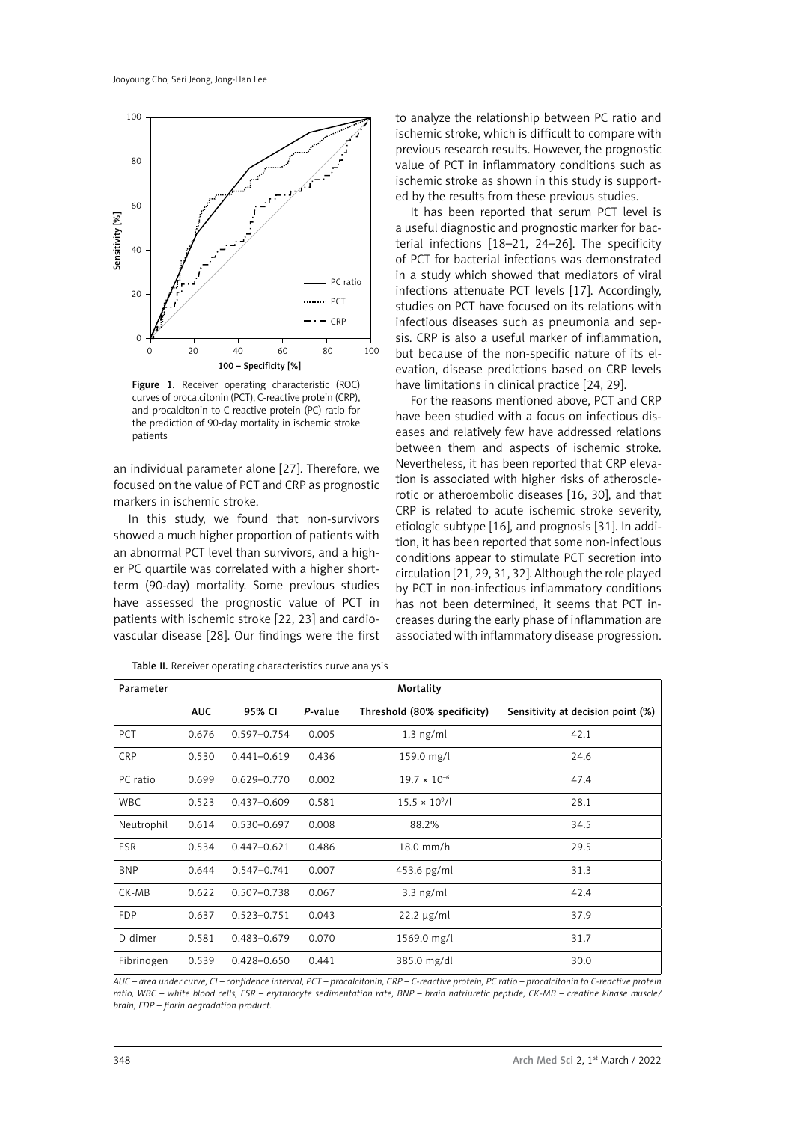

Figure 1. Receiver operating characteristic (ROC) curves of procalcitonin (PCT), C-reactive protein (CRP), and procalcitonin to C-reactive protein (PC) ratio for the prediction of 90-day mortality in ischemic stroke patients

an individual parameter alone [27]. Therefore, we focused on the value of PCT and CRP as prognostic markers in ischemic stroke.

In this study, we found that non-survivors showed a much higher proportion of patients with an abnormal PCT level than survivors, and a higher PC quartile was correlated with a higher shortterm (90-day) mortality. Some previous studies have assessed the prognostic value of PCT in patients with ischemic stroke [22, 23] and cardiovascular disease [28]. Our findings were the first

Table II. Receiver operating characteristics curve analysis

to analyze the relationship between PC ratio and ischemic stroke, which is difficult to compare with previous research results. However, the prognostic value of PCT in inflammatory conditions such as ischemic stroke as shown in this study is supported by the results from these previous studies.

It has been reported that serum PCT level is a useful diagnostic and prognostic marker for bacterial infections [18–21, 24–26]. The specificity of PCT for bacterial infections was demonstrated in a study which showed that mediators of viral infections attenuate PCT levels [17]. Accordingly, studies on PCT have focused on its relations with infectious diseases such as pneumonia and sepsis. CRP is also a useful marker of inflammation, but because of the non-specific nature of its elevation, disease predictions based on CRP levels have limitations in clinical practice [24, 29].

For the reasons mentioned above, PCT and CRP have been studied with a focus on infectious diseases and relatively few have addressed relations between them and aspects of ischemic stroke. Nevertheless, it has been reported that CRP elevation is associated with higher risks of atherosclerotic or atheroembolic diseases [16, 30], and that CRP is related to acute ischemic stroke severity, etiologic subtype [16], and prognosis [31]. In addition, it has been reported that some non-infectious conditions appear to stimulate PCT secretion into circulation [21, 29, 31, 32]. Although the role played by PCT in non-infectious inflammatory conditions has not been determined, it seems that PCT increases during the early phase of inflammation are associated with inflammatory disease progression.

| Parameter  | Mortality  |                 |         |                             |                                   |  |
|------------|------------|-----------------|---------|-----------------------------|-----------------------------------|--|
|            | <b>AUC</b> | 95% CI          | P-value | Threshold (80% specificity) | Sensitivity at decision point (%) |  |
| <b>PCT</b> | 0.676      | $0.597 - 0.754$ | 0.005   | $1.3$ ng/ml                 | 42.1                              |  |
| CRP        | 0.530      | $0.441 - 0.619$ | 0.436   | 159.0 mg/l                  | 24.6                              |  |
| PC ratio   | 0.699      | $0.629 - 0.770$ | 0.002   | $19.7 \times 10^{-6}$       | 47.4                              |  |
| <b>WBC</b> | 0.523      | $0.437 - 0.609$ | 0.581   | $15.5 \times 10^{9}$ /l     | 28.1                              |  |
| Neutrophil | 0.614      | $0.530 - 0.697$ | 0.008   | 88.2%                       | 34.5                              |  |
| <b>ESR</b> | 0.534      | $0.447 - 0.621$ | 0.486   | 18.0 mm/h                   | 29.5                              |  |
| <b>BNP</b> | 0.644      | $0.547 - 0.741$ | 0.007   | 453.6 pg/ml                 | 31.3                              |  |
| CK-MB      | 0.622      | $0.507 - 0.738$ | 0.067   | $3.3$ ng/ml                 | 42.4                              |  |
| <b>FDP</b> | 0.637      | $0.523 - 0.751$ | 0.043   | $22.2 \mu g/ml$             | 37.9                              |  |
| D-dimer    | 0.581      | $0.483 - 0.679$ | 0.070   | 1569.0 mg/l                 | 31.7                              |  |
| Fibrinogen | 0.539      | 0.428-0.650     | 0.441   | 385.0 mg/dl                 | 30.0                              |  |

*AUC – area under curve, CI – confidence interval, PCT – procalcitonin, CRP – C-reactive protein, PC ratio – procalcitonin to C-reactive protein ratio, WBC – white blood cells, ESR – erythrocyte sedimentation rate, BNP – brain natriuretic peptide, CK-MB – creatine kinase muscle/ brain, FDP – fibrin degradation product.*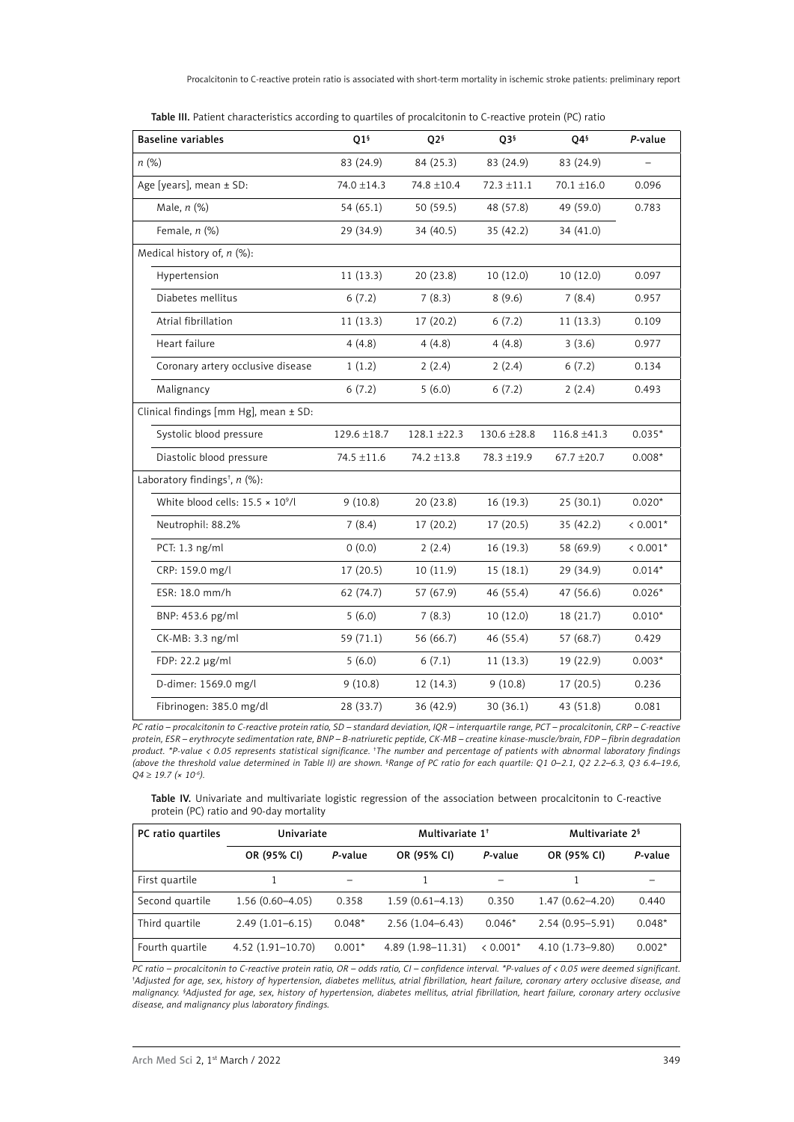| Table III. Patient characteristics according to quartiles of procalcitonin to C-reactive protein (PC) ratio |  |  |
|-------------------------------------------------------------------------------------------------------------|--|--|
|-------------------------------------------------------------------------------------------------------------|--|--|

| <b>Baseline variables</b>                 | Q1 <sup>6</sup> | Q <sub>2</sub> § | Q3 <sup>§</sup> | Q4§              | P-value    |
|-------------------------------------------|-----------------|------------------|-----------------|------------------|------------|
| $n$ (%)                                   | 83 (24.9)       | 84 (25.3)        | 83 (24.9)       | 83 (24.9)        | L,         |
| Age [years], mean ± SD:                   | 74.0 ±14.3      | 74.8 ±10.4       | $72.3 \pm 11.1$ | $70.1 \pm 16.0$  | 0.096      |
| Male, $n$ $(\%)$                          | 54(65.1)        | 50 (59.5)        | 48 (57.8)       | 49 (59.0)        | 0.783      |
| Female, n (%)                             | 29 (34.9)       | 34 (40.5)        | 35 (42.2)       | 34 (41.0)        |            |
| Medical history of, $n$ (%):              |                 |                  |                 |                  |            |
| Hypertension                              | 11(13.3)        | 20(23.8)         | 10 (12.0)       | 10(12.0)         | 0.097      |
| Diabetes mellitus                         | 6(7.2)          | 7(8.3)           | 8(9.6)          | 7(8.4)           | 0.957      |
| Atrial fibrillation                       | 11(13.3)        | 17 (20.2)        | 6(7.2)          | 11(13.3)         | 0.109      |
| Heart failure                             | 4(4.8)          | 4(4.8)           | 4(4.8)          | 3(3.6)           | 0.977      |
| Coronary artery occlusive disease         | 1(1.2)          | 2(2.4)           | 2(2.4)          | 6(7.2)           | 0.134      |
| Malignancy                                | 6(7.2)          | 5(6.0)           | 6(7.2)          | 2(2.4)           | 0.493      |
| Clinical findings [mm Hg], mean ± SD:     |                 |                  |                 |                  |            |
| Systolic blood pressure                   | 129.6 ±18.7     | $128.1 \pm 22.3$ | 130.6 ±28.8     | $116.8 \pm 41.3$ | $0.035*$   |
| Diastolic blood pressure                  | 74.5 ±11.6      | 74.2 ±13.8       | 78.3 ±19.9      | $67.7 \pm 20.7$  | $0.008*$   |
| Laboratory findings <sup>t</sup> , n (%): |                 |                  |                 |                  |            |
| White blood cells: $15.5 \times 10^9$ /l  | 9(10.8)         | 20(23.8)         | 16(19.3)        | 25 (30.1)        | $0.020*$   |
| Neutrophil: 88.2%                         | 7(8.4)          | 17(20.2)         | 17 (20.5)       | 35 (42.2)        | $< 0.001*$ |
| PCT: 1.3 ng/ml                            | 0(0.0)          | 2(2.4)           | 16(19.3)        | 58 (69.9)        | $< 0.001*$ |
| CRP: 159.0 mg/l                           | 17(20.5)        | 10(11.9)         | 15(18.1)        | 29(34.9)         | $0.014*$   |
| ESR: 18.0 mm/h                            | 62 (74.7)       | 57 (67.9)        | 46 (55.4)       | 47 (56.6)        | $0.026*$   |
| BNP: 453.6 pg/ml                          | 5(6.0)          | 7(8.3)           | 10(12.0)        | 18 (21.7)        | $0.010*$   |
| CK-MB: 3.3 ng/ml                          | 59 (71.1)       | 56 (66.7)        | 46 (55.4)       | 57 (68.7)        | 0.429      |
| FDP: 22.2 µg/ml                           | 5(6.0)          | 6(7.1)           | 11(13.3)        | 19 (22.9)        | $0.003*$   |
| D-dimer: 1569.0 mg/l                      | 9(10.8)         | 12(14.3)         | 9(10.8)         | 17(20.5)         | 0.236      |
| Fibrinogen: 385.0 mg/dl                   | 28 (33.7)       | 36 (42.9)        | 30(36.1)        | 43 (51.8)        | 0.081      |

*PC ratio – procalcitonin to C-reactive protein ratio, SD – standard deviation, IQR – interquartile range, PCT – procalcitonin, CRP – C-reactive protein, ESR – erythrocyte sedimentation rate, BNP – B-natriuretic peptide, CK-MB – creatine kinase-muscle/brain, FDP – fibrin degradation product. \*P-value < 0.05 represents statistical significance. † The number and percentage of patients with abnormal laboratory findings (above the threshold value determined in Table II) are shown. § Range of PC ratio for each quartile: Q1 0–2.1, Q2 2.2–6.3, Q3 6.4–19.6, Q4* ≥ *19.7 (× 10-6).*

Table IV. Univariate and multivariate logistic regression of the association between procalcitonin to C-reactive protein (PC) ratio and 90-day mortality

| PC ratio quartiles | Univariate         |          | Multivariate 1 <sup>+</sup> |            | Multivariate 2 <sup>§</sup> |          |
|--------------------|--------------------|----------|-----------------------------|------------|-----------------------------|----------|
|                    | OR (95% CI)        | P-value  | OR (95% CI)                 | P-value    | OR (95% CI)                 | P-value  |
| First quartile     |                    |          |                             |            |                             |          |
| Second quartile    | $1.56(0.60-4.05)$  | 0.358    | $1.59(0.61 - 4.13)$         | 0.350      | $1.47(0.62 - 4.20)$         | 0.440    |
| Third quartile     | $2.49(1.01-6.15)$  | $0.048*$ | $2.56(1.04 - 6.43)$         | $0.046*$   | $2.54(0.95 - 5.91)$         | $0.048*$ |
| Fourth quartile    | $4.52(1.91-10.70)$ | $0.001*$ | $4.89(1.98 - 11.31)$        | $< 0.001*$ | $4.10(1.73 - 9.80)$         | $0.002*$ |

*PC ratio – procalcitonin to C-reactive protein ratio, OR – odds ratio, CI – confidence interval. \*P-values of < 0.05 were deemed significant. † Adjusted for age, sex, history of hypertension, diabetes mellitus, atrial fibrillation, heart failure, coronary artery occlusive disease, and malignancy. § Adjusted for age, sex, history of hypertension, diabetes mellitus, atrial fibrillation, heart failure, coronary artery occlusive disease, and malignancy plus laboratory findings.*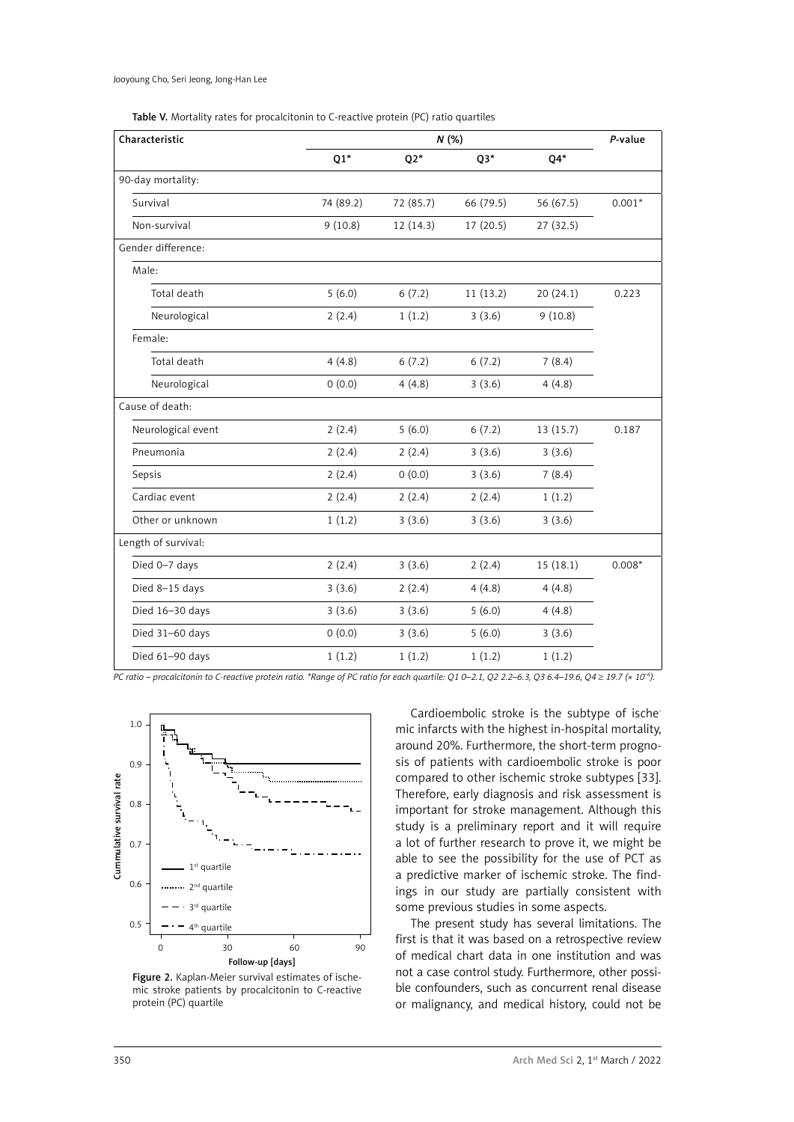|  |  | Table V. Mortality rates for procalcitonin to C-reactive protein (PC) ratio quartiles |
|--|--|---------------------------------------------------------------------------------------|
|--|--|---------------------------------------------------------------------------------------|

| Characteristic      | N(%)      |           |           | P-value   |          |
|---------------------|-----------|-----------|-----------|-----------|----------|
|                     | $Q1*$     | $Q2*$     | $Q3*$     | $Q4*$     |          |
| 90-day mortality:   |           |           |           |           |          |
| Survival            | 74 (89.2) | 72 (85.7) | 66 (79.5) | 56 (67.5) | $0.001*$ |
| Non-survival        | 9(10.8)   | 12(14.3)  | 17 (20.5) | 27 (32.5) |          |
| Gender difference:  |           |           |           |           |          |
| Male:               |           |           |           |           |          |
| Total death         | 5(6.0)    | 6(7.2)    | 11 (13.2) | 20 (24.1) | 0.223    |
| Neurological        | 2(2.4)    | 1(1.2)    | 3(3.6)    | 9(10.8)   |          |
| Female:             |           |           |           |           |          |
| Total death         | 4(4.8)    | 6(7.2)    | 6(7.2)    | 7(8.4)    |          |
| Neurological        | 0(0.0)    | 4(4.8)    | 3(3.6)    | 4(4.8)    |          |
| Cause of death:     |           |           |           |           |          |
| Neurological event  | 2(2.4)    | 5(6.0)    | 6(7.2)    | 13 (15.7) | 0.187    |
| Pneumonia           | 2(2.4)    | 2(2.4)    | 3(3.6)    | 3(3.6)    |          |
| Sepsis              | 2(2.4)    | 0(0.0)    | 3(3.6)    | 7(8.4)    |          |
| Cardiac event       | 2(2.4)    | 2(2.4)    | 2(2.4)    | 1(1.2)    |          |
| Other or unknown    | 1(1.2)    | 3(3.6)    | 3(3.6)    | 3(3.6)    |          |
| Length of survival: |           |           |           |           |          |
| Died 0-7 days       | 2(2.4)    | 3(3.6)    | 2(2.4)    | 15(18.1)  | $0.008*$ |
| Died 8-15 days      | 3(3.6)    | 2(2.4)    | 4(4.8)    | 4(4.8)    |          |
| Died 16-30 days     | 3(3.6)    | 3(3.6)    | 5(6.0)    | 4(4.8)    |          |
| Died 31-60 days     | 0(0.0)    | 3(3.6)    | 5(6.0)    | 3(3.6)    |          |
| Died 61-90 days     | 1(1.2)    | 1(1.2)    | 1(1.2)    | 1(1.2)    |          |

*PC ratio – procalcitonin to C-reactive protein ratio. \*Range of PC ratio for each quartile: Q1 0–2.1, Q2 2.2–6.3, Q3 6.4–19.6, Q4 ≥* 19.7 (× 10<sup>-6</sup>).



Figure 2. Kaplan-Meier survival estimates of ischemic stroke patients by procalcitonin to C-reactive protein (PC) quartile

Cardioembolic stroke is the subtype of ischemic infarcts with the highest in-hospital mortality, around 20%. Furthermore, the short-term prognosis of patients with cardioembolic stroke is poor compared to other ischemic stroke subtypes [33]. Therefore, early diagnosis and risk assessment is important for stroke management. Although this study is a preliminary report and it will require a lot of further research to prove it, we might be able to see the possibility for the use of PCT as a predictive marker of ischemic stroke. The findings in our study are partially consistent with some previous studies in some aspects.

The present study has several limitations. The first is that it was based on a retrospective review of medical chart data in one institution and was not a case control study. Furthermore, other possible confounders, such as concurrent renal disease or malignancy, and medical history, could not be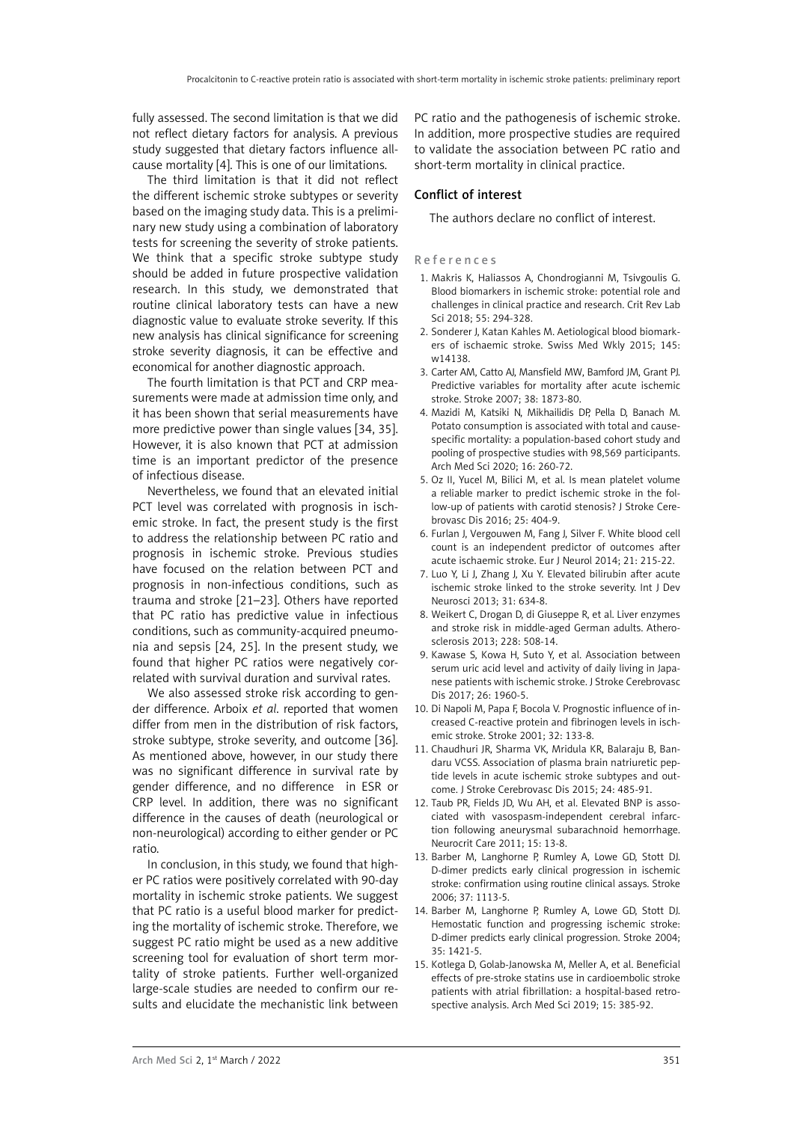fully assessed. The second limitation is that we did not reflect dietary factors for analysis. A previous study suggested that dietary factors influence allcause mortality [4]. This is one of our limitations.

The third limitation is that it did not reflect the different ischemic stroke subtypes or severity based on the imaging study data. This is a preliminary new study using a combination of laboratory tests for screening the severity of stroke patients. We think that a specific stroke subtype study should be added in future prospective validation research. In this study, we demonstrated that routine clinical laboratory tests can have a new diagnostic value to evaluate stroke severity. If this new analysis has clinical significance for screening stroke severity diagnosis, it can be effective and economical for another diagnostic approach.

The fourth limitation is that PCT and CRP measurements were made at admission time only, and it has been shown that serial measurements have more predictive power than single values [34, 35]. However, it is also known that PCT at admission time is an important predictor of the presence of infectious disease.

Nevertheless, we found that an elevated initial PCT level was correlated with prognosis in ischemic stroke. In fact, the present study is the first to address the relationship between PC ratio and prognosis in ischemic stroke. Previous studies have focused on the relation between PCT and prognosis in non-infectious conditions, such as trauma and stroke [21–23]. Others have reported that PC ratio has predictive value in infectious conditions, such as community-acquired pneumonia and sepsis [24, 25]. In the present study, we found that higher PC ratios were negatively correlated with survival duration and survival rates.

We also assessed stroke risk according to gender difference. Arboix *et al*. reported that women differ from men in the distribution of risk factors, stroke subtype, stroke severity, and outcome [36]. As mentioned above, however, in our study there was no significant difference in survival rate by gender difference, and no difference in ESR or CRP level. In addition, there was no significant difference in the causes of death (neurological or non-neurological) according to either gender or PC ratio.

In conclusion, in this study, we found that higher PC ratios were positively correlated with 90-day mortality in ischemic stroke patients. We suggest that PC ratio is a useful blood marker for predicting the mortality of ischemic stroke. Therefore, we suggest PC ratio might be used as a new additive screening tool for evaluation of short term mortality of stroke patients. Further well-organized large-scale studies are needed to confirm our results and elucidate the mechanistic link between

PC ratio and the pathogenesis of ischemic stroke. In addition, more prospective studies are required to validate the association between PC ratio and short-term mortality in clinical practice.

## Conflict of interest

The authors declare no conflict of interest.

References

- 1. Makris K, Haliassos A, Chondrogianni M, Tsivgoulis G. Blood biomarkers in ischemic stroke: potential role and challenges in clinical practice and research. Crit Rev Lab Sci 2018; 55: 294-328.
- 2. Sonderer J, Katan Kahles M. Aetiological blood biomarkers of ischaemic stroke. Swiss Med Wkly 2015; 145: w14138.
- 3. Carter AM, Catto AJ, Mansfield MW, Bamford JM, Grant PJ. Predictive variables for mortality after acute ischemic stroke. Stroke 2007; 38: 1873-80.
- 4. Mazidi M, Katsiki N, Mikhailidis DP, Pella D, Banach M. Potato consumption is associated with total and causespecific mortality: a population-based cohort study and pooling of prospective studies with 98,569 participants. Arch Med Sci 2020; 16: 260-72.
- 5. Oz II, Yucel M, Bilici M, et al. Is mean platelet volume a reliable marker to predict ischemic stroke in the follow-up of patients with carotid stenosis? J Stroke Cerebrovasc Dis 2016; 25: 404-9.
- 6. Furlan J, Vergouwen M, Fang J, Silver F. White blood cell count is an independent predictor of outcomes after acute ischaemic stroke. Eur J Neurol 2014; 21: 215-22.
- 7. Luo Y, Li J, Zhang J, Xu Y. Elevated bilirubin after acute ischemic stroke linked to the stroke severity. Int J Dev Neurosci 2013; 31: 634-8.
- 8. Weikert C, Drogan D, di Giuseppe R, et al. Liver enzymes and stroke risk in middle-aged German adults. Atherosclerosis 2013; 228: 508-14.
- 9. Kawase S, Kowa H, Suto Y, et al. Association between serum uric acid level and activity of daily living in Japanese patients with ischemic stroke. J Stroke Cerebrovasc Dis 2017; 26: 1960-5.
- 10. Di Napoli M, Papa F, Bocola V. Prognostic influence of increased C-reactive protein and fibrinogen levels in ischemic stroke. Stroke 2001; 32: 133-8.
- 11. Chaudhuri JR, Sharma VK, Mridula KR, Balaraju B, Bandaru VCSS. Association of plasma brain natriuretic peptide levels in acute ischemic stroke subtypes and outcome. J Stroke Cerebrovasc Dis 2015; 24: 485-91.
- 12. Taub PR, Fields JD, Wu AH, et al. Elevated BNP is associated with vasospasm-independent cerebral infarction following aneurysmal subarachnoid hemorrhage. Neurocrit Care 2011; 15: 13-8.
- 13. Barber M, Langhorne P, Rumley A, Lowe GD, Stott DJ. D-dimer predicts early clinical progression in ischemic stroke: confirmation using routine clinical assays. Stroke 2006; 37: 1113-5.
- 14. Barber M, Langhorne P, Rumley A, Lowe GD, Stott DJ. Hemostatic function and progressing ischemic stroke: D-dimer predicts early clinical progression. Stroke 2004; 35: 1421-5.
- 15. Kotlega D, Golab-Janowska M, Meller A, et al. Beneficial effects of pre-stroke statins use in cardioembolic stroke patients with atrial fibrillation: a hospital-based retrospective analysis. Arch Med Sci 2019; 15: 385-92.